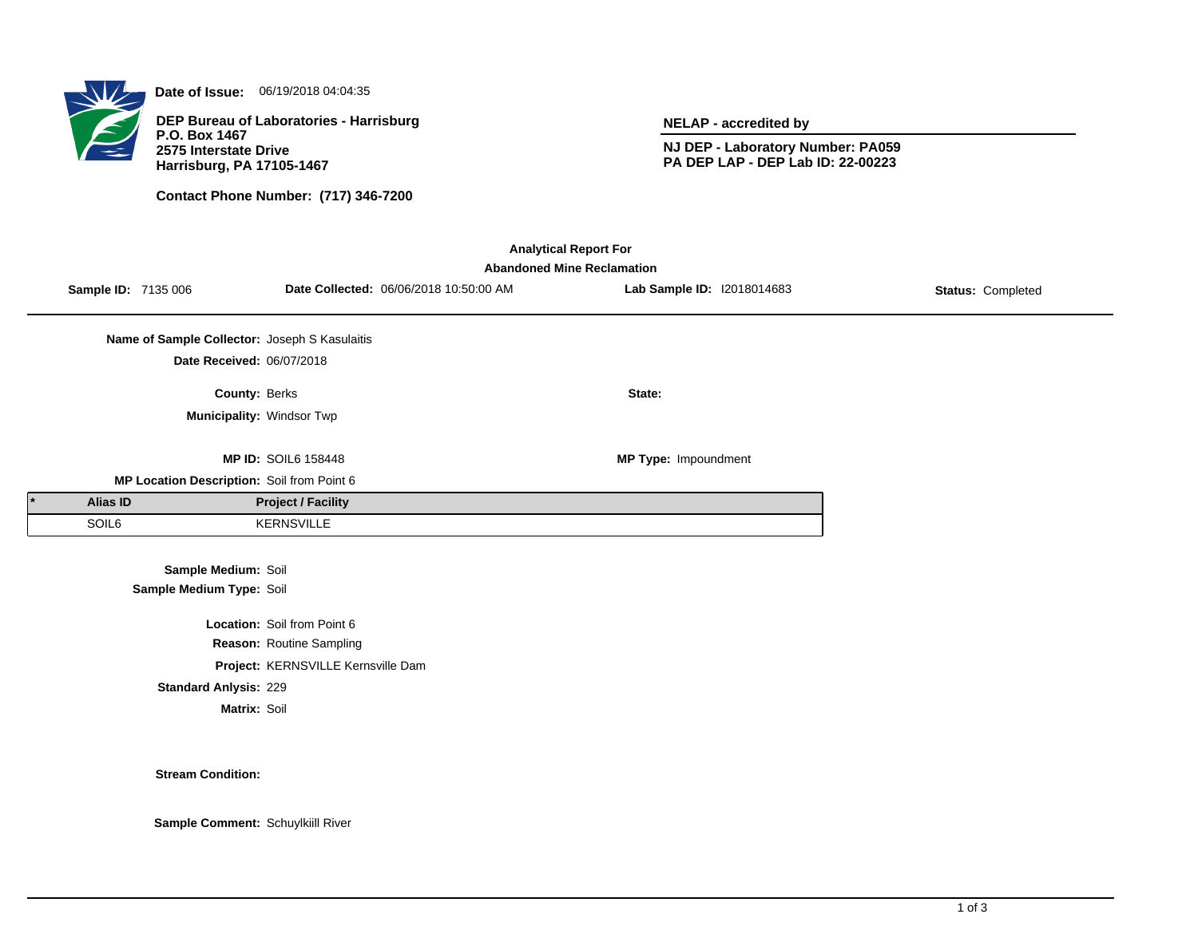

**Date of Issue:** 06/19/2018 04:04:35

**DEP Bureau of Laboratories - Harrisburg P.O. Box 1467 2575 Interstate Drive Harrisburg, PA 17105-1467**

**Contact Phone Number: (717) 346-7200**

**NELAP - accredited by**

**NJ DEP - Laboratory Number: PA059 PA DEP LAP - DEP Lab ID: 22-00223**

| <b>Analytical Report For</b><br><b>Abandoned Mine Reclamation</b> |                     |                                               |                                    |                                        |                            |                   |  |  |  |  |  |
|-------------------------------------------------------------------|---------------------|-----------------------------------------------|------------------------------------|----------------------------------------|----------------------------|-------------------|--|--|--|--|--|
|                                                                   | Sample ID: 7135 006 |                                               |                                    | Date Collected: 06/06/2018 10:50:00 AM | Lab Sample ID: 12018014683 | Status: Completed |  |  |  |  |  |
|                                                                   |                     | Name of Sample Collector: Joseph S Kasulaitis |                                    |                                        |                            |                   |  |  |  |  |  |
|                                                                   |                     | Date Received: 06/07/2018                     |                                    |                                        |                            |                   |  |  |  |  |  |
|                                                                   |                     | County: Berks                                 |                                    |                                        | State:                     |                   |  |  |  |  |  |
|                                                                   |                     | Municipality: Windsor Twp                     |                                    |                                        |                            |                   |  |  |  |  |  |
|                                                                   |                     |                                               | <b>MP ID: SOIL6 158448</b>         |                                        | MP Type: Impoundment       |                   |  |  |  |  |  |
|                                                                   |                     | MP Location Description: Soil from Point 6    |                                    |                                        |                            |                   |  |  |  |  |  |
|                                                                   | Alias ID            |                                               | <b>Project / Facility</b>          |                                        |                            |                   |  |  |  |  |  |
|                                                                   | SOIL6               |                                               | <b>KERNSVILLE</b>                  |                                        |                            |                   |  |  |  |  |  |
|                                                                   |                     | Sample Medium: Soil                           |                                    |                                        |                            |                   |  |  |  |  |  |
| Sample Medium Type: Soil                                          |                     |                                               |                                    |                                        |                            |                   |  |  |  |  |  |
|                                                                   |                     |                                               | Location: Soil from Point 6        |                                        |                            |                   |  |  |  |  |  |
|                                                                   |                     |                                               | Reason: Routine Sampling           |                                        |                            |                   |  |  |  |  |  |
|                                                                   |                     |                                               | Project: KERNSVILLE Kernsville Dam |                                        |                            |                   |  |  |  |  |  |
|                                                                   |                     | <b>Standard Anlysis: 229</b>                  |                                    |                                        |                            |                   |  |  |  |  |  |
|                                                                   |                     | Matrix: Soil                                  |                                    |                                        |                            |                   |  |  |  |  |  |
|                                                                   |                     |                                               |                                    |                                        |                            |                   |  |  |  |  |  |

**Stream Condition:**

**Sample Comment:** Schuylkiill River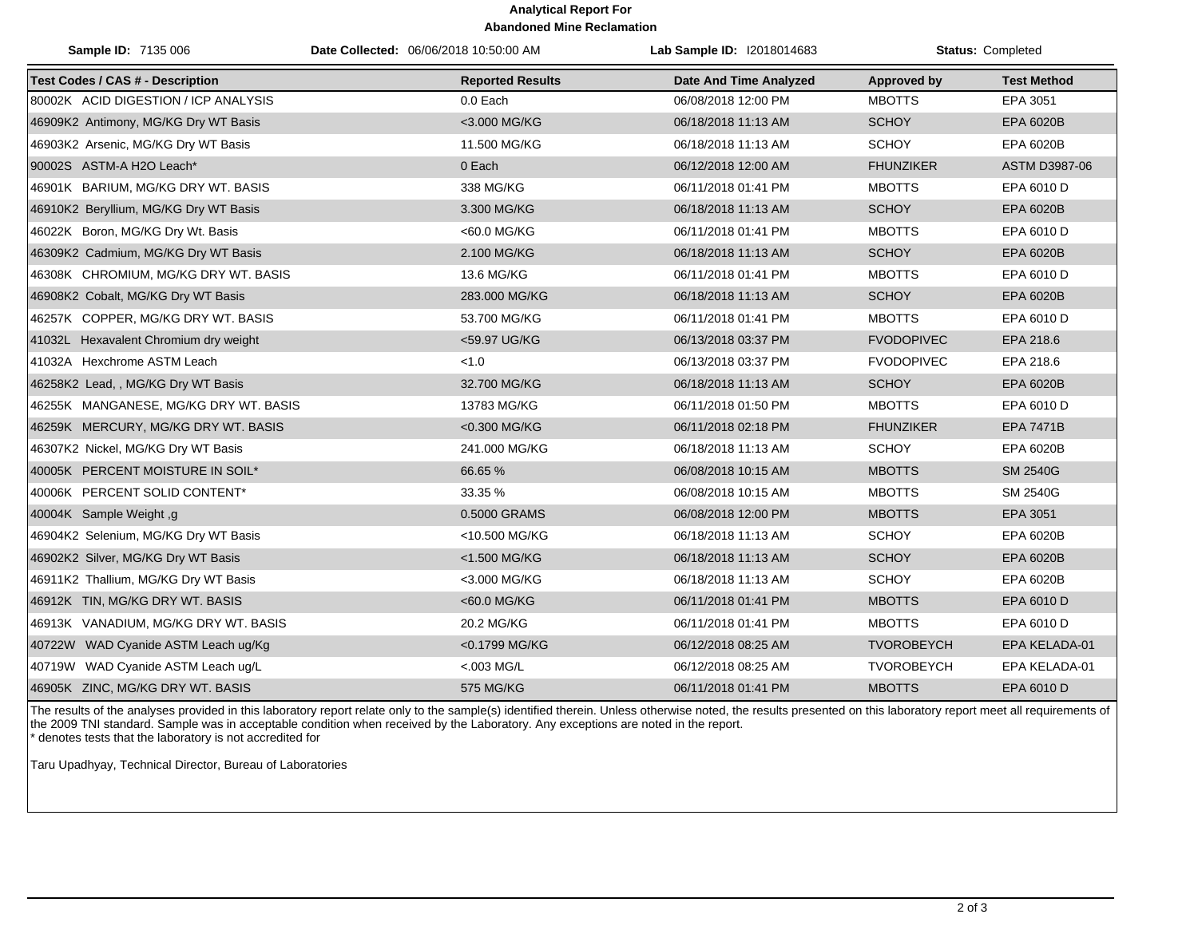## **Analytical Report For Abandoned Mine Reclamation**

| Sample ID: 7135 006                     | Date Collected: 06/06/2018 10:50:00 AM | Lab Sample ID: I2018014683    |                   | Status: Completed  |
|-----------------------------------------|----------------------------------------|-------------------------------|-------------------|--------------------|
| <b>Test Codes / CAS # - Description</b> | <b>Reported Results</b>                | <b>Date And Time Analyzed</b> | Approved by       | <b>Test Method</b> |
| 80002K ACID DIGESTION / ICP ANALYSIS    | 0.0 Each                               | 06/08/2018 12:00 PM           | <b>MBOTTS</b>     | EPA 3051           |
| 46909K2 Antimony, MG/KG Dry WT Basis    | <3.000 MG/KG                           | 06/18/2018 11:13 AM           | <b>SCHOY</b>      | EPA 6020B          |
| 46903K2 Arsenic, MG/KG Dry WT Basis     | 11.500 MG/KG                           | 06/18/2018 11:13 AM           | <b>SCHOY</b>      | EPA 6020B          |
| 90002S ASTM-A H2O Leach*                | 0 Each                                 | 06/12/2018 12:00 AM           | <b>FHUNZIKER</b>  | ASTM D3987-06      |
| 46901K BARIUM, MG/KG DRY WT. BASIS      | 338 MG/KG                              | 06/11/2018 01:41 PM           | <b>MBOTTS</b>     | EPA 6010 D         |
| 46910K2 Beryllium, MG/KG Dry WT Basis   | 3.300 MG/KG                            | 06/18/2018 11:13 AM           | <b>SCHOY</b>      | EPA 6020B          |
| 46022K Boron, MG/KG Dry Wt. Basis       | <60.0 MG/KG                            | 06/11/2018 01:41 PM           | <b>MBOTTS</b>     | EPA 6010 D         |
| 46309K2 Cadmium, MG/KG Dry WT Basis     | 2.100 MG/KG                            | 06/18/2018 11:13 AM           | <b>SCHOY</b>      | EPA 6020B          |
| 46308K CHROMIUM, MG/KG DRY WT. BASIS    | 13.6 MG/KG                             | 06/11/2018 01:41 PM           | <b>MBOTTS</b>     | EPA 6010 D         |
| 46908K2 Cobalt, MG/KG Dry WT Basis      | 283.000 MG/KG                          | 06/18/2018 11:13 AM           | <b>SCHOY</b>      | EPA 6020B          |
| 46257K COPPER, MG/KG DRY WT. BASIS      | 53.700 MG/KG                           | 06/11/2018 01:41 PM           | <b>MBOTTS</b>     | EPA 6010 D         |
| 41032L Hexavalent Chromium dry weight   | <59.97 UG/KG                           | 06/13/2018 03:37 PM           | <b>FVODOPIVEC</b> | EPA 218.6          |
| 41032A Hexchrome ASTM Leach             | < 1.0                                  | 06/13/2018 03:37 PM           | <b>FVODOPIVEC</b> | EPA 218.6          |
| 46258K2 Lead, , MG/KG Dry WT Basis      | 32.700 MG/KG                           | 06/18/2018 11:13 AM           | <b>SCHOY</b>      | EPA 6020B          |
| 46255K MANGANESE, MG/KG DRY WT. BASIS   | 13783 MG/KG                            | 06/11/2018 01:50 PM           | <b>MBOTTS</b>     | EPA 6010 D         |
| 46259K MERCURY, MG/KG DRY WT. BASIS     | <0.300 MG/KG                           | 06/11/2018 02:18 PM           | <b>FHUNZIKER</b>  | <b>EPA 7471B</b>   |
| 46307K2 Nickel, MG/KG Dry WT Basis      | 241.000 MG/KG                          | 06/18/2018 11:13 AM           | <b>SCHOY</b>      | EPA 6020B          |
| 40005K PERCENT MOISTURE IN SOIL*        | 66.65 %                                | 06/08/2018 10:15 AM           | <b>MBOTTS</b>     | <b>SM 2540G</b>    |
| 40006K PERCENT SOLID CONTENT*           | 33.35 %                                | 06/08/2018 10:15 AM           | <b>MBOTTS</b>     | SM 2540G           |
| 40004K Sample Weight, g                 | 0.5000 GRAMS                           | 06/08/2018 12:00 PM           | <b>MBOTTS</b>     | EPA 3051           |
| 46904K2 Selenium, MG/KG Dry WT Basis    | <10.500 MG/KG                          | 06/18/2018 11:13 AM           | <b>SCHOY</b>      | EPA 6020B          |
| 46902K2 Silver, MG/KG Dry WT Basis      | <1.500 MG/KG                           | 06/18/2018 11:13 AM           | <b>SCHOY</b>      | EPA 6020B          |
| 46911K2 Thallium, MG/KG Dry WT Basis    | <3.000 MG/KG                           | 06/18/2018 11:13 AM           | <b>SCHOY</b>      | EPA 6020B          |
| 46912K TIN, MG/KG DRY WT. BASIS         | <60.0 MG/KG                            | 06/11/2018 01:41 PM           | <b>MBOTTS</b>     | EPA 6010 D         |
| 46913K VANADIUM, MG/KG DRY WT. BASIS    | 20.2 MG/KG                             | 06/11/2018 01:41 PM           | <b>MBOTTS</b>     | EPA 6010 D         |
| 40722W WAD Cyanide ASTM Leach ug/Kg     | <0.1799 MG/KG                          | 06/12/2018 08:25 AM           | <b>TVOROBEYCH</b> | EPA KELADA-01      |
| 40719W WAD Cyanide ASTM Leach ug/L      | $< 003$ MG/L                           | 06/12/2018 08:25 AM           | <b>TVOROBEYCH</b> | EPA KELADA-01      |
| 46905K ZINC, MG/KG DRY WT. BASIS        | 575 MG/KG                              | 06/11/2018 01:41 PM           | <b>MBOTTS</b>     | EPA 6010 D         |

The results of the analyses provided in this laboratory report relate only to the sample(s) identified therein. Unless otherwise noted, the results presented on this laboratory report meet all requirements of the 2009 TNI standard. Sample was in acceptable condition when received by the Laboratory. Any exceptions are noted in the report. \* denotes tests that the laboratory is not accredited for

Taru Upadhyay, Technical Director, Bureau of Laboratories